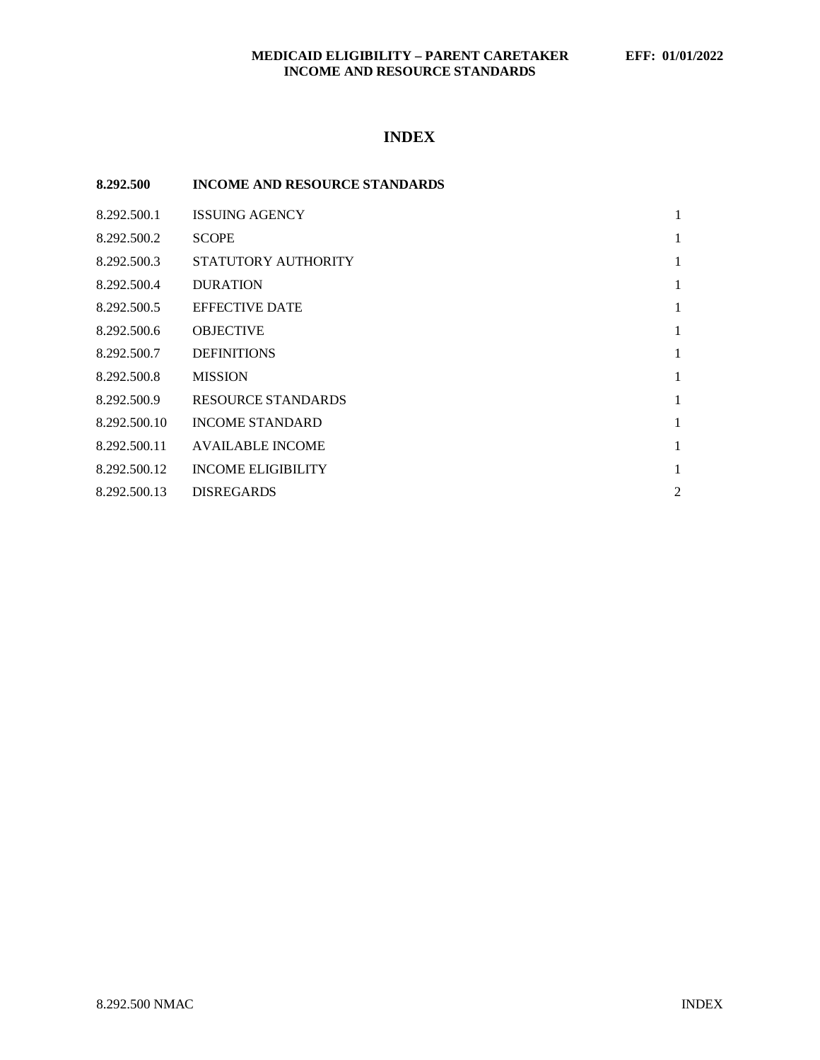## **MEDICAID ELIGIBILITY – PARENT CARETAKER EFF: 01/01/2022 INCOME AND RESOURCE STANDARDS**

# **INDEX**

| 8.292.500    | <b>INCOME AND RESOURCE STANDARDS</b> |   |
|--------------|--------------------------------------|---|
| 8.292.500.1  | <b>ISSUING AGENCY</b>                | 1 |
| 8.292.500.2  | <b>SCOPE</b>                         | 1 |
| 8.292.500.3  | STATUTORY AUTHORITY                  | 1 |
| 8.292.500.4  | <b>DURATION</b>                      | 1 |
| 8.292.500.5  | <b>EFFECTIVE DATE</b>                | 1 |
| 8.292.500.6  | <b>OBJECTIVE</b>                     | 1 |
| 8.292.500.7  | <b>DEFINITIONS</b>                   | 1 |
| 8.292.500.8  | <b>MISSION</b>                       | 1 |
| 8.292.500.9  | RESOURCE STANDARDS                   | 1 |
| 8.292.500.10 | <b>INCOME STANDARD</b>               | 1 |
| 8.292.500.11 | <b>AVAILABLE INCOME</b>              | 1 |
| 8.292.500.12 | <b>INCOME ELIGIBILITY</b>            | 1 |
| 8.292.500.13 | <b>DISREGARDS</b>                    | 2 |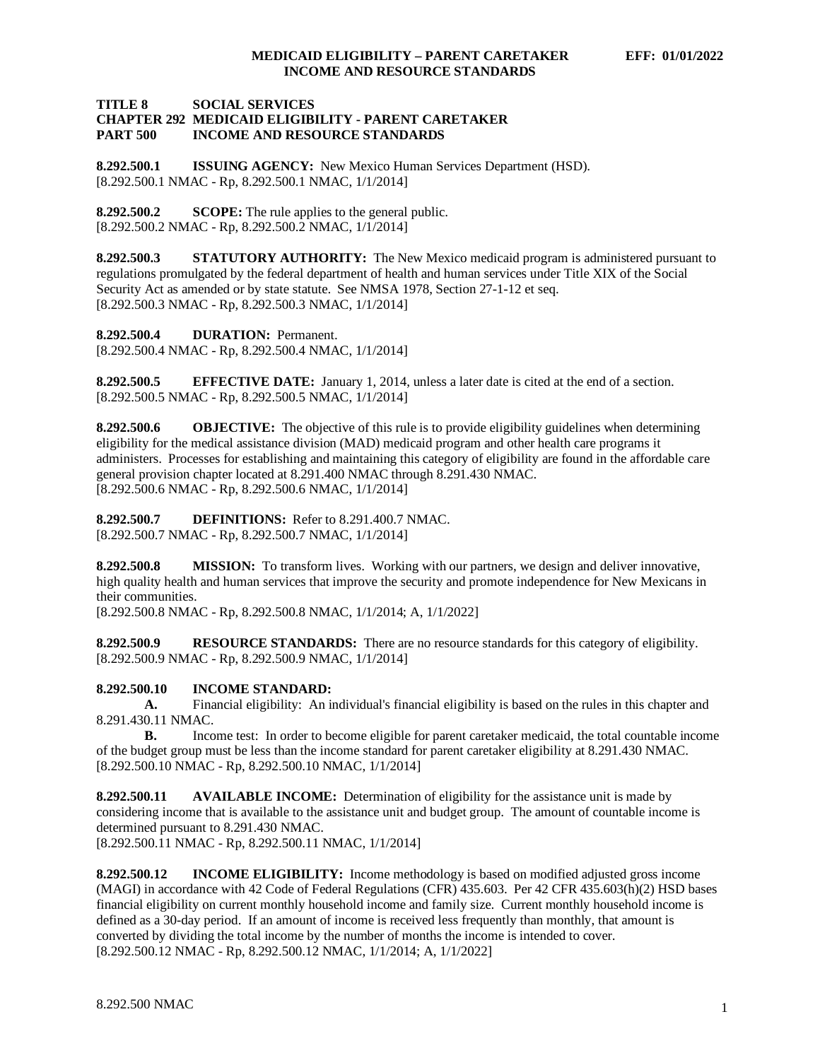#### **TITLE 8 SOCIAL SERVICES CHAPTER 292 MEDICAID ELIGIBILITY - PARENT CARETAKER INCOME AND RESOURCE STANDARDS**

<span id="page-1-0"></span>**8.292.500.1 ISSUING AGENCY:** New Mexico Human Services Department (HSD). [8.292.500.1 NMAC - Rp, 8.292.500.1 NMAC, 1/1/2014]

<span id="page-1-1"></span>**8.292.500.2 SCOPE:** The rule applies to the general public. [8.292.500.2 NMAC - Rp, 8.292.500.2 NMAC, 1/1/2014]

<span id="page-1-2"></span>**8.292.500.3 STATUTORY AUTHORITY:** The New Mexico medicaid program is administered pursuant to regulations promulgated by the federal department of health and human services under Title XIX of the Social Security Act as amended or by state statute. See NMSA 1978, Section 27-1-12 et seq. [8.292.500.3 NMAC - Rp, 8.292.500.3 NMAC, 1/1/2014]

<span id="page-1-3"></span>**8.292.500.4 DURATION:** Permanent.

[8.292.500.4 NMAC - Rp, 8.292.500.4 NMAC, 1/1/2014]

<span id="page-1-4"></span>**8.292.500.5 EFFECTIVE DATE:** January 1, 2014, unless a later date is cited at the end of a section. [8.292.500.5 NMAC - Rp, 8.292.500.5 NMAC, 1/1/2014]

<span id="page-1-5"></span>**8.292.500.6 OBJECTIVE:** The objective of this rule is to provide eligibility guidelines when determining eligibility for the medical assistance division (MAD) medicaid program and other health care programs it administers. Processes for establishing and maintaining this category of eligibility are found in the affordable care general provision chapter located at 8.291.400 NMAC through 8.291.430 NMAC. [8.292.500.6 NMAC - Rp, 8.292.500.6 NMAC, 1/1/2014]

<span id="page-1-6"></span>**8.292.500.7 DEFINITIONS:** Refer to 8.291.400.7 NMAC. [8.292.500.7 NMAC - Rp, 8.292.500.7 NMAC, 1/1/2014]

<span id="page-1-7"></span>**8.292.500.8 MISSION:** To transform lives. Working with our partners, we design and deliver innovative, high quality health and human services that improve the security and promote independence for New Mexicans in their communities.

[8.292.500.8 NMAC - Rp, 8.292.500.8 NMAC, 1/1/2014; A, 1/1/2022]

<span id="page-1-8"></span>**8.292.500.9 RESOURCE STANDARDS:** There are no resource standards for this category of eligibility. [8.292.500.9 NMAC - Rp, 8.292.500.9 NMAC, 1/1/2014]

#### <span id="page-1-9"></span>**8.292.500.10 INCOME STANDARD:**

**A.** Financial eligibility: An individual's financial eligibility is based on the rules in this chapter and 8.291.430.11 NMAC.

**B.** Income test: In order to become eligible for parent caretaker medicaid, the total countable income of the budget group must be less than the income standard for parent caretaker eligibility at 8.291.430 NMAC. [8.292.500.10 NMAC - Rp, 8.292.500.10 NMAC, 1/1/2014]

<span id="page-1-10"></span>**8.292.500.11 AVAILABLE INCOME:** Determination of eligibility for the assistance unit is made by considering income that is available to the assistance unit and budget group. The amount of countable income is determined pursuant to 8.291.430 NMAC.

[8.292.500.11 NMAC - Rp, 8.292.500.11 NMAC, 1/1/2014]

<span id="page-1-11"></span>**8.292.500.12 INCOME ELIGIBILITY:** Income methodology is based on modified adjusted gross income (MAGI) in accordance with 42 Code of Federal Regulations (CFR) 435.603. Per 42 CFR 435.603(h)(2) HSD bases financial eligibility on current monthly household income and family size. Current monthly household income is defined as a 30-day period. If an amount of income is received less frequently than monthly, that amount is converted by dividing the total income by the number of months the income is intended to cover. [8.292.500.12 NMAC - Rp, 8.292.500.12 NMAC, 1/1/2014; A, 1/1/2022]